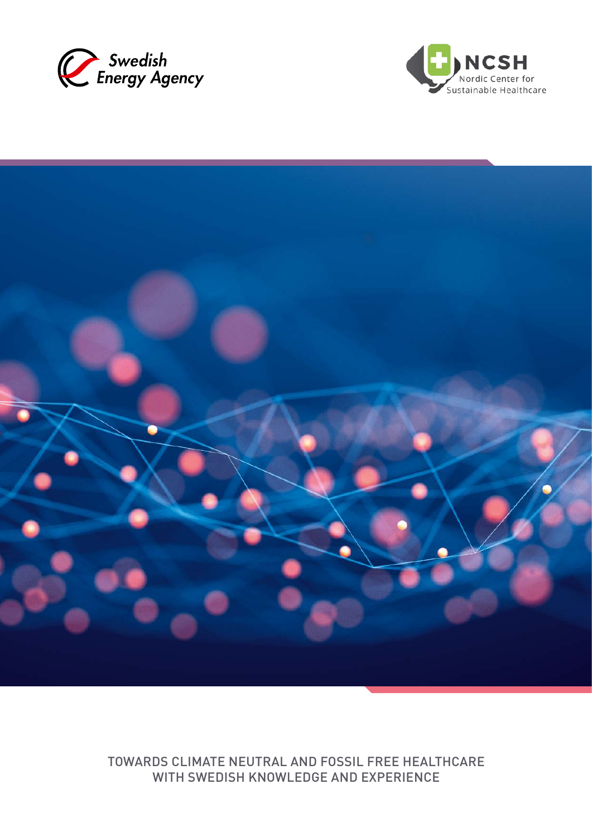





TOWARDS CLIMATE NEUTRAL AND FOSSIL FREE HEALTHCARE WITH SWEDISH KNOWLEDGE AND EXPERIENCE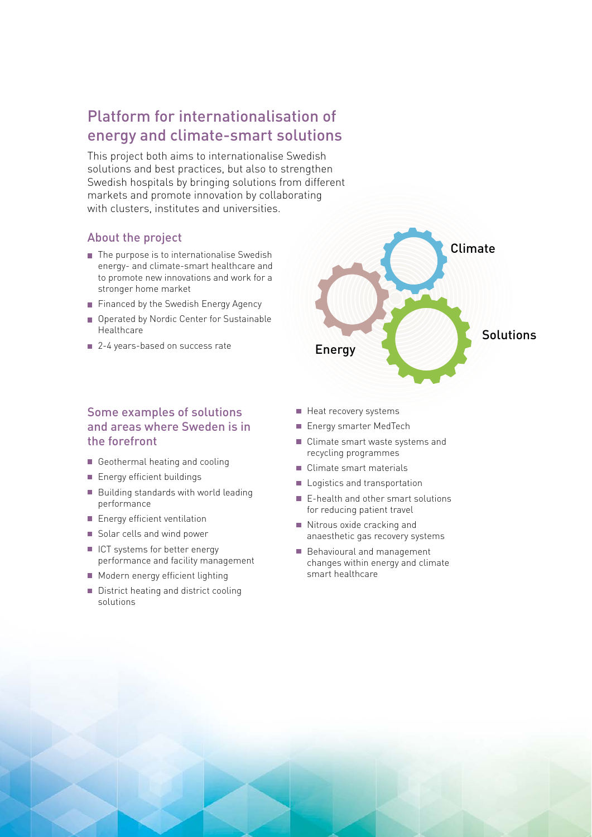# Platform for internationalisation of energy and climate-smart solutions

This project both aims to internationalise Swedish solutions and best practices, but also to strengthen Swedish hospitals by bringing solutions from different markets and promote innovation by collaborating with clusters, institutes and universities.

#### About the project

- $\blacksquare$  The purpose is to internationalise Swedish energy- and climate-smart healthcare and to promote new innovations and work for a stronger home market
- Financed by the Swedish Energy Agency
- Operated by Nordic Center for Sustainable Healthcare
- 2-4 years-based on success rate

## Some examples of solutions and areas where Sweden is in the forefront

- Geothermal heating and cooling
- **Energy efficient buildings**
- Building standards with world leading performance
- **Energy efficient ventilation**
- Solar cells and wind power
- I ICT systems for better energy performance and facility management
- **Modern energy efficient lighting**
- District heating and district cooling solutions

Heat recovery systems

Energy

- **Energy smarter MedTech**
- Climate smart waste systems and recycling programmes

Climate

**Solutions** 

- Climate smart materials П
- Logistics and transportation
- E-health and other smart solutions for reducing patient travel
- Nitrous oxide cracking and anaesthetic gas recovery systems
- Behavioural and management changes within energy and climate smart healthcare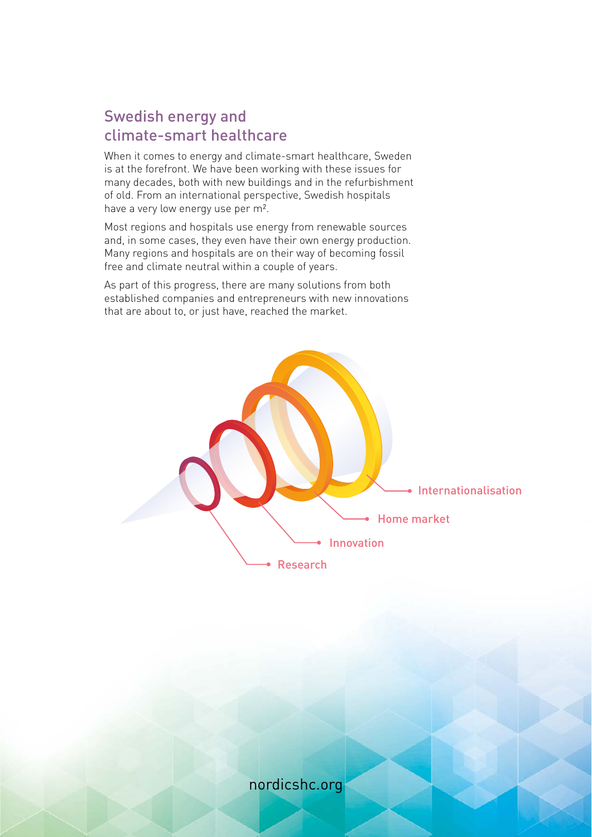## Swedish energy and climate-smart healthcare

When it comes to energy and climate-smart healthcare, Sweden is at the forefront. We have been working with these issues for many decades, both with new buildings and in the refurbishment of old. From an international perspective, Swedish hospitals have a very low energy use per m².

Most regions and hospitals use energy from renewable sources and, in some cases, they even have their own energy production. Many regions and hospitals are on their way of becoming fossil free and climate neutral within a couple of years.

As part of this progress, there are many solutions from both established companies and entrepreneurs with new innovations that are about to, or just have, reached the market.



nordicshc.org